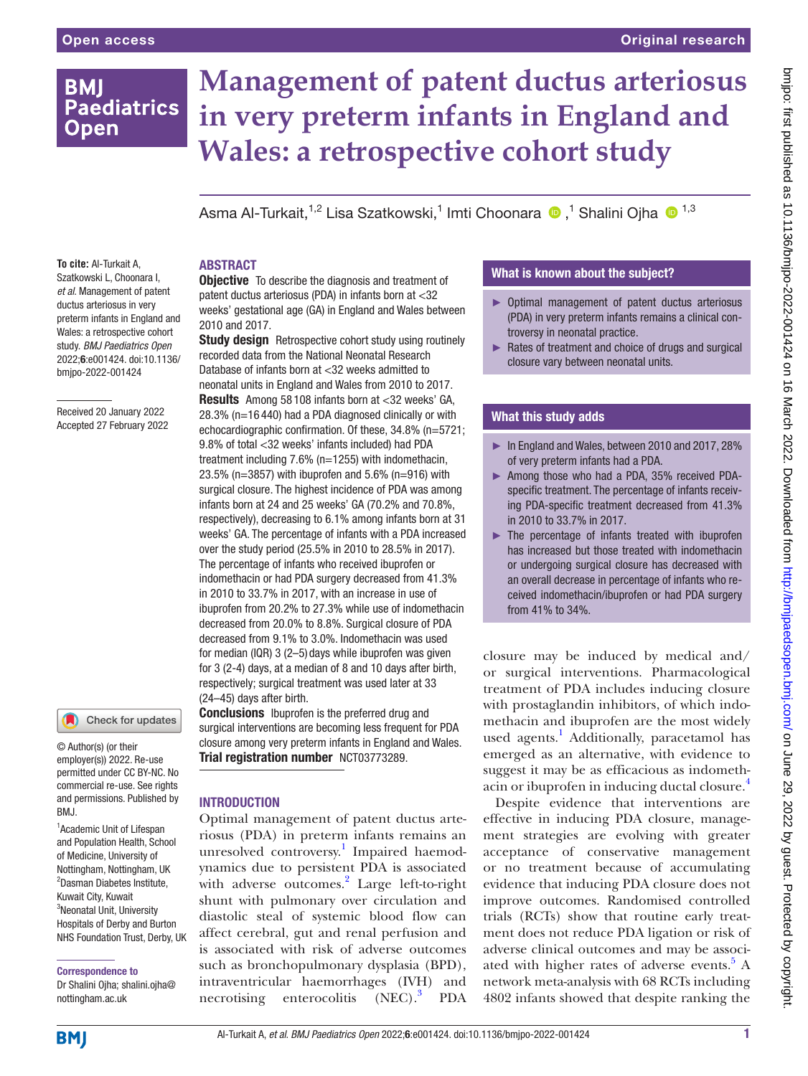## **BMI Paediatrics Open**

# **Management of patent ductus arteriosus in very preterm infants in England and Wales: a retrospective cohort study**

AsmaAl-Turkait,<sup>1,2</sup> Lisa Szatkowski,<sup>1</sup> Imti Choonara (D ,<sup>1</sup> Shalini Ojha (D <sup>1,3</sup>

**To cite:** Al-Turkait A, Szatkowski L, Choonara I, *et al*. Management of patent ductus arteriosus in very preterm infants in England and Wales: a retrospective cohort study. *BMJ Paediatrics Open* 2022;6:e001424. doi:10.1136/ bmjpo-2022-001424

Received 20 January 2022 Accepted 27 February 2022



© Author(s) (or their employer(s)) 2022. Re-use permitted under CC BY-NC. No commercial re-use. See rights and permissions. Published by BMJ.

<sup>1</sup> Academic Unit of Lifespan and Population Health, School of Medicine, University of Nottingham, Nottingham, UK 2 Dasman Diabetes Institute, Kuwait City, Kuwait <sup>3</sup>Neonatal Unit, University Hospitals of Derby and Burton NHS Foundation Trust, Derby, UK

#### Correspondence to

Dr Shalini Ojha; shalini.ojha@ nottingham.ac.uk

#### ABSTRACT

**Objective** To describe the diagnosis and treatment of patent ductus arteriosus (PDA) in infants born at <32 weeks' gestational age (GA) in England and Wales between 2010 and 2017.

**Study design** Retrospective cohort study using routinely recorded data from the National Neonatal Research Database of infants born at <32 weeks admitted to neonatal units in England and Wales from 2010 to 2017. Results Among 58 108 infants born at <32 weeks' GA, 28.3% (n=16 440) had a PDA diagnosed clinically or with echocardiographic confirmation. Of these, 34.8% (n=5721; 9.8% of total <32 weeks' infants included) had PDA treatment including 7.6% (n=1255) with indomethacin, 23.5% (n=3857) with ibuprofen and 5.6% (n=916) with surgical closure. The highest incidence of PDA was among infants born at 24 and 25 weeks' GA (70.2% and 70.8%, respectively), decreasing to 6.1% among infants born at 31 weeks' GA. The percentage of infants with a PDA increased over the study period (25.5% in 2010 to 28.5% in 2017). The percentage of infants who received ibuprofen or indomethacin or had PDA surgery decreased from 41.3% in 2010 to 33.7% in 2017, with an increase in use of ibuprofen from 20.2% to 27.3% while use of indomethacin decreased from 20.0% to 8.8%. Surgical closure of PDA decreased from 9.1% to 3.0%. Indomethacin was used for median (IQR) 3 (2–5) days while ibuprofen was given for 3 (2-4) days, at a median of 8 and 10 days after birth, respectively; surgical treatment was used later at 33 (24–45) days after birth.

**Conclusions** Ibuprofen is the preferred drug and surgical interventions are becoming less frequent for PDA closure among very preterm infants in England and Wales. Trial registration number [NCT03773289.](NCT03773289)

#### **INTRODUCTION**

Optimal management of patent ductus arteriosus (PDA) in preterm infants remains an unresolved controversy.<sup>1</sup> Impaired haemodynamics due to persistent PDA is associated with adverse outcomes.<sup>2</sup> Large left-to-right shunt with pulmonary over circulation and diastolic steal of systemic blood flow can affect cerebral, gut and renal perfusion and is associated with risk of adverse outcomes such as bronchopulmonary dysplasia (BPD), intraventricular haemorrhages (IVH) and necrotising enterocolitis (NEC).<sup>3</sup> PDA

#### What is known about the subject?

- ► Optimal management of patent ductus arteriosus (PDA) in very preterm infants remains a clinical controversy in neonatal practice.
- ► Rates of treatment and choice of drugs and surgical closure vary between neonatal units.

### What this study adds

- ► In England and Wales, between 2010 and 2017, 28% of very preterm infants had a PDA.
- ► Among those who had a PDA, 35% received PDAspecific treatment. The percentage of infants receiving PDA-specific treatment decreased from 41.3% in 2010 to 33.7% in 2017.
- ► The percentage of infants treated with ibuprofen has increased but those treated with indomethacin or undergoing surgical closure has decreased with an overall decrease in percentage of infants who received indomethacin/ibuprofen or had PDA surgery from 41% to 34%.

closure may be induced by medical and/ or surgical interventions. Pharmacological treatment of PDA includes inducing closure with prostaglandin inhibitors, of which indomethacin and ibuprofen are the most widely used agents.<sup>[1](#page-7-0)</sup> Additionally, paracetamol has emerged as an alternative, with evidence to suggest it may be as efficacious as indomethacin or ibuprofen in inducing ductal closure.[4](#page-7-1)

Despite evidence that interventions are effective in inducing PDA closure, management strategies are evolving with greater acceptance of conservative management or no treatment because of accumulating evidence that inducing PDA closure does not improve outcomes. Randomised controlled trials (RCTs) show that routine early treatment does not reduce PDA ligation or risk of adverse clinical outcomes and may be associ-ated with higher rates of adverse events.<sup>[5](#page-7-2)</sup> A network meta-analysis with 68 RCTs including 4802 infants showed that despite ranking the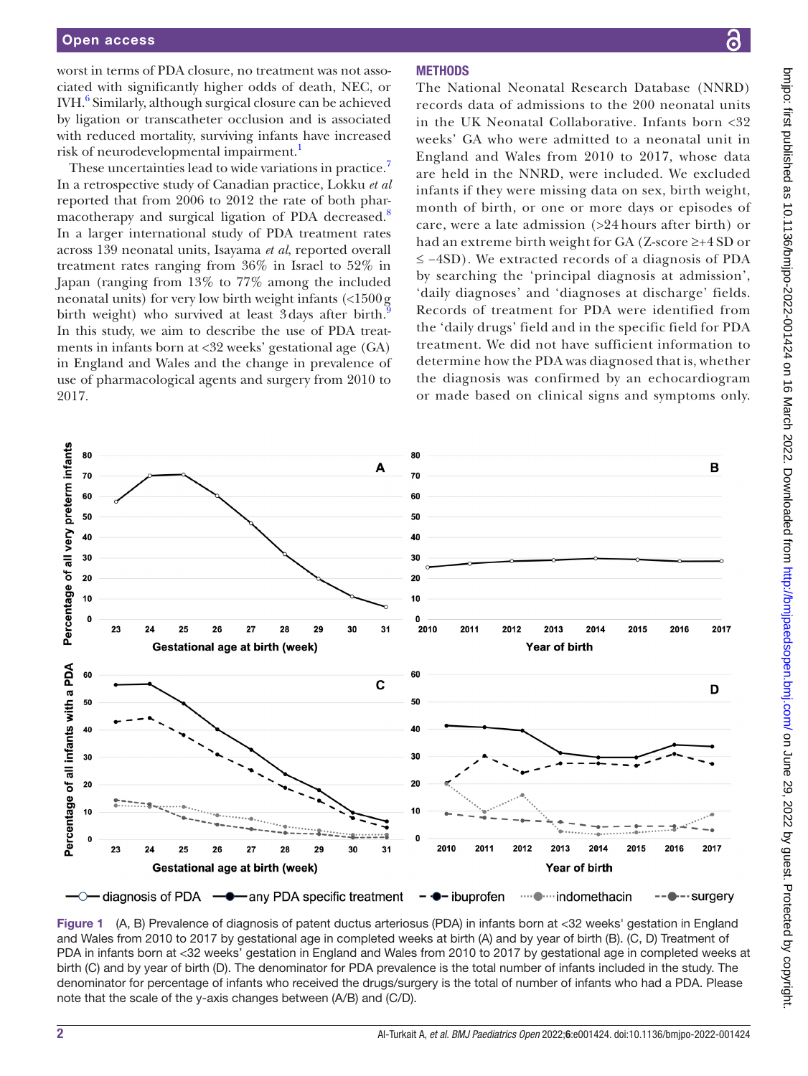worst in terms of PDA closure, no treatment was not associated with significantly higher odds of death, NEC, or IVH.<sup>[6](#page-7-3)</sup> Similarly, although surgical closure can be achieved by ligation or transcatheter occlusion and is associated with reduced mortality, surviving infants have increased risk of neurodevelopmental impairment.<sup>[1](#page-7-0)</sup>

These uncertainties lead to wide variations in practice.<sup>[7](#page-7-4)</sup> In a retrospective study of Canadian practice, Lokku *et al* reported that from 2006 to 2012 the rate of both phar-macotherapy and surgical ligation of PDA decreased.<sup>[8](#page-7-5)</sup> In a larger international study of PDA treatment rates across 139 neonatal units, Isayama *et al*, reported overall treatment rates ranging from 36% in Israel to 52% in Japan (ranging from 13% to 77% among the included neonatal units) for very low birth weight infants (<1500g birth weight) who survived at least 3days after birth.<sup>[9](#page-7-6)</sup> In this study, we aim to describe the use of PDA treatments in infants born at <32 weeks' gestational age (GA) in England and Wales and the change in prevalence of use of pharmacological agents and surgery from 2010 to 2017.

### **METHODS**

The National Neonatal Research Database (NNRD) records data of admissions to the 200 neonatal units in the UK Neonatal Collaborative. Infants born <32 weeks' GA who were admitted to a neonatal unit in England and Wales from 2010 to 2017, whose data are held in the NNRD, were included. We excluded infants if they were missing data on sex, birth weight, month of birth, or one or more days or episodes of care, were a late admission (>24 hours after birth) or had an extreme birth weight for GA (Z-score ≥+4 SD or ≤ −4SD). We extracted records of a diagnosis of PDA by searching the 'principal diagnosis at admission', 'daily diagnoses' and 'diagnoses at discharge' fields. Records of treatment for PDA were identified from the 'daily drugs' field and in the specific field for PDA treatment. We did not have sufficient information to determine how the PDA was diagnosed that is, whether the diagnosis was confirmed by an echocardiogram or made based on clinical signs and symptoms only.



<span id="page-1-0"></span>Figure 1 (A, B) Prevalence of diagnosis of patent ductus arteriosus (PDA) in infants born at <32 weeks' gestation in England and Wales from 2010 to 2017 by gestational age in completed weeks at birth (A) and by year of birth (B). (C, D) Treatment of PDA in infants born at <32 weeks' gestation in England and Wales from 2010 to 2017 by gestational age in completed weeks at birth (C) and by year of birth (D). The denominator for PDA prevalence is the total number of infants included in the study. The denominator for percentage of infants who received the drugs/surgery is the total of number of infants who had a PDA. Please note that the scale of the y-axis changes between (A/B) and (C/D).

ဥ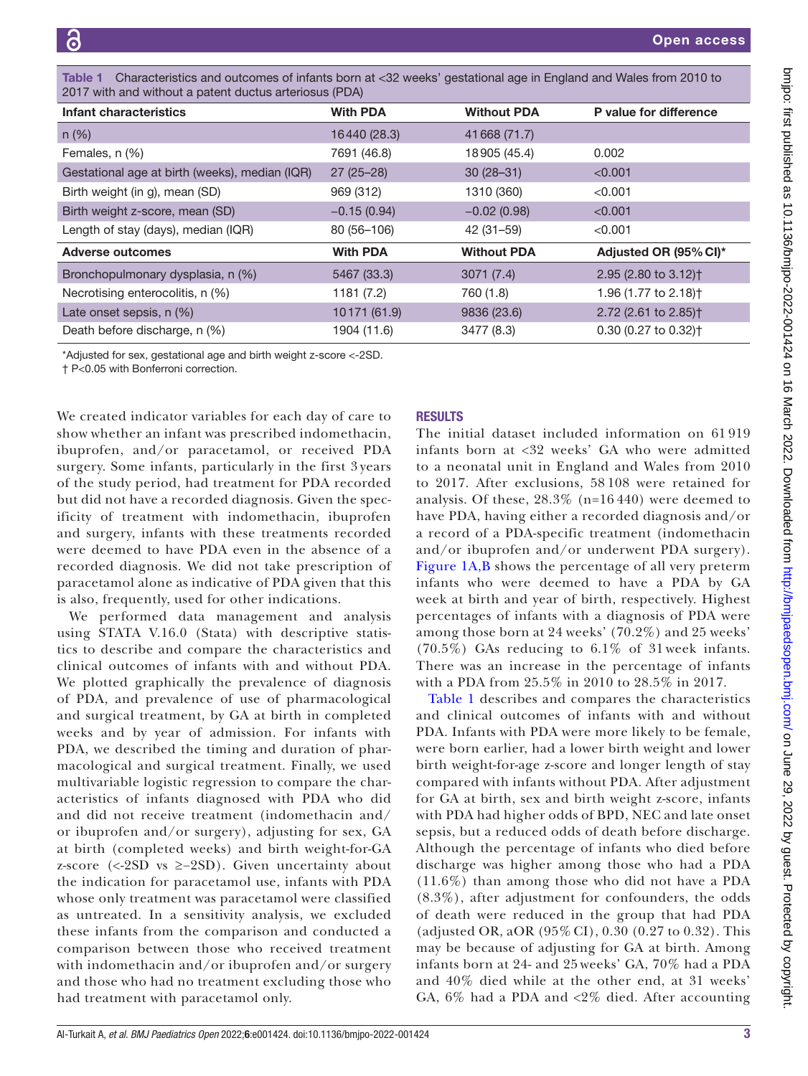| 2017 with and without a patent ductus arteriosus (PDA) |                 |                    |                                  |  |
|--------------------------------------------------------|-----------------|--------------------|----------------------------------|--|
| Infant characteristics                                 | <b>With PDA</b> | <b>Without PDA</b> | P value for difference           |  |
| $n (\%)$                                               | 16440 (28.3)    | 41 668 (71.7)      |                                  |  |
| Females, n (%)                                         | 7691 (46.8)     | 18905 (45.4)       | 0.002                            |  |
| Gestational age at birth (weeks), median (IQR)         | $27(25-28)$     | $30(28-31)$        | < 0.001                          |  |
| Birth weight (in g), mean (SD)                         | 969 (312)       | 1310 (360)         | < 0.001                          |  |
| Birth weight z-score, mean (SD)                        | $-0.15(0.94)$   | $-0.02(0.98)$      | < 0.001                          |  |
| Length of stay (days), median (IQR)                    | 80 (56-106)     | $42(31 - 59)$      | < 0.001                          |  |
| <b>Adverse outcomes</b>                                | <b>With PDA</b> | <b>Without PDA</b> | Adjusted OR (95% CI)*            |  |
| Bronchopulmonary dysplasia, n (%)                      | 5467 (33.3)     | 3071(7.4)          | 2.95 (2.80 to 3.12) <sup>+</sup> |  |
| Necrotising enterocolitis, n (%)                       | 1181(7.2)       | 760 (1.8)          | 1.96 (1.77 to 2.18) <sup>+</sup> |  |
| Late onset sepsis, n (%)                               | 10171 (61.9)    | 9836 (23.6)        | 2.72 (2.61 to 2.85) <sup>+</sup> |  |
| Death before discharge, n (%)                          | 1904 (11.6)     | 3477 (8.3)         | 0.30 (0.27 to 0.32) <sup>+</sup> |  |

<span id="page-2-0"></span>Table 1 Characteristics and outcomes of infants born at <32 weeks' gestational age in England and Wales from 2010 to

\*Adjusted for sex, gestational age and birth weight z-score <-2SD.

† P<0.05 with Bonferroni correction.

We created indicator variables for each day of care to show whether an infant was prescribed indomethacin, ibuprofen, and/or paracetamol, or received PDA surgery. Some infants, particularly in the first 3 years of the study period, had treatment for PDA recorded but did not have a recorded diagnosis. Given the specificity of treatment with indomethacin, ibuprofen and surgery, infants with these treatments recorded were deemed to have PDA even in the absence of a recorded diagnosis. We did not take prescription of paracetamol alone as indicative of PDA given that this is also, frequently, used for other indications.

We performed data management and analysis using STATA V.16.0 (Stata) with descriptive statistics to describe and compare the characteristics and clinical outcomes of infants with and without PDA. We plotted graphically the prevalence of diagnosis of PDA, and prevalence of use of pharmacological and surgical treatment, by GA at birth in completed weeks and by year of admission. For infants with PDA, we described the timing and duration of pharmacological and surgical treatment. Finally, we used multivariable logistic regression to compare the characteristics of infants diagnosed with PDA who did and did not receive treatment (indomethacin and/ or ibuprofen and/or surgery), adjusting for sex, GA at birth (completed weeks) and birth weight-for-GA z-score (<-2SD vs ≥−2SD). Given uncertainty about the indication for paracetamol use, infants with PDA whose only treatment was paracetamol were classified as untreated. In a sensitivity analysis, we excluded these infants from the comparison and conducted a comparison between those who received treatment with indomethacin and/or ibuprofen and/or surgery and those who had no treatment excluding those who had treatment with paracetamol only.

### RESULTS

The initial dataset included information on 61 919 infants born at <32 weeks' GA who were admitted to a neonatal unit in England and Wales from 2010 to 2017. After exclusions, 58 108 were retained for analysis. Of these, 28.3% (n=16 440) were deemed to have PDA, having either a recorded diagnosis and/or a record of a PDA-specific treatment (indomethacin and/or ibuprofen and/or underwent PDA surgery). [Figure](#page-1-0) 1A,B shows the percentage of all very preterm infants who were deemed to have a PDA by GA week at birth and year of birth, respectively. Highest percentages of infants with a diagnosis of PDA were among those born at 24 weeks' (70.2%) and 25 weeks' (70.5%) GAs reducing to 6.1% of 31 week infants. There was an increase in the percentage of infants with a PDA from 25.5% in 2010 to 28.5% in 2017.

[Table](#page-2-0) 1 describes and compares the characteristics and clinical outcomes of infants with and without PDA. Infants with PDA were more likely to be female, were born earlier, had a lower birth weight and lower birth weight-for-age z-score and longer length of stay compared with infants without PDA. After adjustment for GA at birth, sex and birth weight z-score, infants with PDA had higher odds of BPD, NEC and late onset sepsis, but a reduced odds of death before discharge. Although the percentage of infants who died before discharge was higher among those who had a PDA (11.6%) than among those who did not have a PDA (8.3%), after adjustment for confounders, the odds of death were reduced in the group that had PDA (adjusted OR, aOR (95% CI), 0.30 (0.27 to 0.32). This may be because of adjusting for GA at birth. Among infants born at 24- and 25 weeks' GA, 70% had a PDA and 40% died while at the other end, at 31 weeks' GA, 6% had a PDA and <2% died. After accounting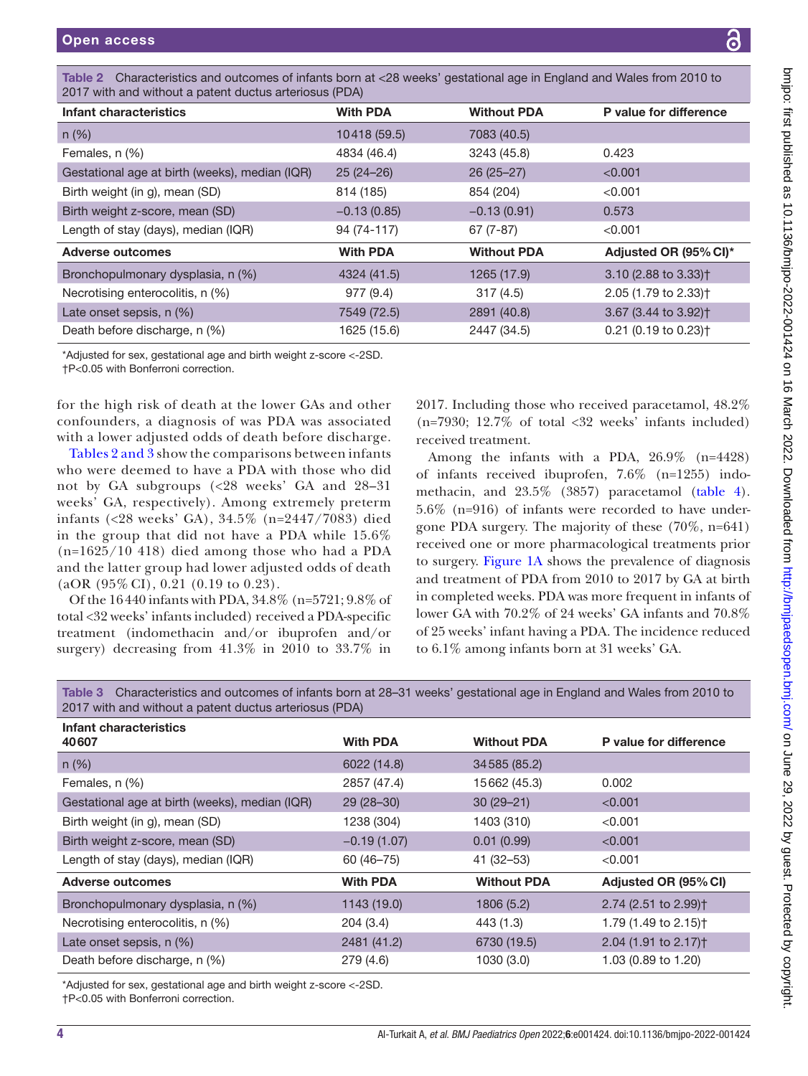| 2017 with and without a patent ductus arteriosus (PDA)                                                                                                               |                 |                                                                                                                                  |                                  |
|----------------------------------------------------------------------------------------------------------------------------------------------------------------------|-----------------|----------------------------------------------------------------------------------------------------------------------------------|----------------------------------|
| <b>Infant characteristics</b>                                                                                                                                        | <b>With PDA</b> | <b>Without PDA</b>                                                                                                               | P value for difference           |
| $n$ (%)                                                                                                                                                              | 10418 (59.5)    | 7083 (40.5)                                                                                                                      |                                  |
| Females, n (%)                                                                                                                                                       | 4834 (46.4)     | 3243 (45.8)                                                                                                                      | 0.423                            |
| Gestational age at birth (weeks), median (IQR)                                                                                                                       | $25(24-26)$     | $26(25-27)$                                                                                                                      | < 0.001                          |
| Birth weight (in g), mean (SD)                                                                                                                                       | 814 (185)       | 854 (204)                                                                                                                        | < 0.001                          |
| Birth weight z-score, mean (SD)                                                                                                                                      | $-0.13(0.85)$   | $-0.13(0.91)$                                                                                                                    | 0.573                            |
| Length of stay (days), median (IQR)                                                                                                                                  | 94 (74-117)     | $67(7-87)$                                                                                                                       | < 0.001                          |
| <b>Adverse outcomes</b>                                                                                                                                              | <b>With PDA</b> | <b>Without PDA</b>                                                                                                               | Adjusted OR (95% CI)*            |
| Bronchopulmonary dysplasia, n (%)                                                                                                                                    | 4324 (41.5)     | 1265 (17.9)                                                                                                                      | 3.10 (2.88 to 3.33) <sup>+</sup> |
| Necrotising enterocolitis, n (%)                                                                                                                                     | 977 (9.4)       | 317(4.5)                                                                                                                         | 2.05 (1.79 to 2.33) <sup>+</sup> |
| Late onset sepsis, n (%)                                                                                                                                             | 7549 (72.5)     | 2891 (40.8)                                                                                                                      | 3.67 (3.44 to 3.92) <sup>+</sup> |
| Death before discharge, n (%)                                                                                                                                        | 1625 (15.6)     | 2447 (34.5)                                                                                                                      | 0.21 (0.19 to 0.23) <sup>+</sup> |
| *Adjusted for sex, gestational age and birth weight z-score <-2SD.<br>+P<0.05 with Bonferroni correction.                                                            |                 |                                                                                                                                  |                                  |
| for the high risk of death at the lower GAs and other<br>confounders, a diagnosis of was PDA was associated<br>with a lower adjusted odds of death before discharge. |                 | 2017. Including those who received paracetamol, 48.<br>(n=7930; 12.7% of total <32 weeks' infants include<br>received treatment. |                                  |

<span id="page-3-0"></span>Table 2 Characteristics and outcomes of infants born at <28 weeks' gestational age in England and Wales from 2010 to

Tables [2 and 3](#page-3-0) show the comparisons between infants who were deemed to have a PDA with those who did not by GA subgroups (<28 weeks' GA and 28–31 weeks' GA, respectively). Among extremely preterm infants (<28 weeks' GA), 34.5% (n=2447/7083) died in the group that did not have a PDA while 15.6% (n=1625/10 418) died among those who had a PDA and the latter group had lower adjusted odds of death  $(aOR (95\% CI), 0.21 (0.19 to 0.23)).$ 

Of the 16440 infants with PDA, 34.8% (n=5721; 9.8% of total <32 weeks' infants included) received a PDA-specific treatment (indomethacin and/or ibuprofen and/or surgery) decreasing from 41.3% in 2010 to 33.7% in

2017. Including those who received paracetamol, 48.2% cluded)

Among the infants with a PDA, 26.9% (n=4428) of infants received ibuprofen, 7.6% (n=1255) indomethacin, and 23.5% (3857) paracetamol [\(table](#page-4-0) 4). 5.6% (n=916) of infants were recorded to have undergone PDA surgery. The majority of these (70%, n=641) received one or more pharmacological treatments prior to surgery. [Figure](#page-1-0) 1A shows the prevalence of diagnosis and treatment of PDA from 2010 to 2017 by GA at birth in completed weeks. PDA was more frequent in infants of lower GA with 70.2% of 24 weeks' GA infants and 70.8% of 25 weeks' infant having a PDA. The incidence reduced to 6.1% among infants born at 31 weeks' GA.

Table 3 Characteristics and outcomes of infants born at 28–31 weeks' gestational age in England and Wales from 2010 to 2017 with and without a patent ductus arteriosus (PDA)

| Infant characteristics                         |                 |                    |                                  |
|------------------------------------------------|-----------------|--------------------|----------------------------------|
| 40607                                          | <b>With PDA</b> | <b>Without PDA</b> | P value for difference           |
| $n (\%)$                                       | 6022 (14.8)     | 34585 (85.2)       |                                  |
| Females, n (%)                                 | 2857 (47.4)     | 15662 (45.3)       | 0.002                            |
| Gestational age at birth (weeks), median (IQR) | $29(28-30)$     | $30(29 - 21)$      | < 0.001                          |
| Birth weight (in g), mean (SD)                 | 1238 (304)      | 1403 (310)         | < 0.001                          |
| Birth weight z-score, mean (SD)                | $-0.19(1.07)$   | 0.01(0.99)         | < 0.001                          |
| Length of stay (days), median (IQR)            | 60 (46-75)      | $41(32 - 53)$      | < 0.001                          |
| Adverse outcomes                               | <b>With PDA</b> | <b>Without PDA</b> | Adjusted OR (95% CI)             |
| Bronchopulmonary dysplasia, n (%)              | 1143 (19.0)     | 1806 (5.2)         | 2.74 (2.51 to 2.99) <sup>+</sup> |
| Necrotising enterocolitis, n (%)               | 204(3.4)        | 443 (1.3)          | 1.79 (1.49 to 2.15) <sup>+</sup> |
| Late onset sepsis, n (%)                       | 2481 (41.2)     | 6730 (19.5)        | 2.04 (1.91 to 2.17) <sup>+</sup> |
| Death before discharge, n (%)                  | 279 (4.6)       | 1030 (3.0)         | 1.03 (0.89 to 1.20)              |

\*Adjusted for sex, gestational age and birth weight z-score <-2SD.

†P<0.05 with Bonferroni correction.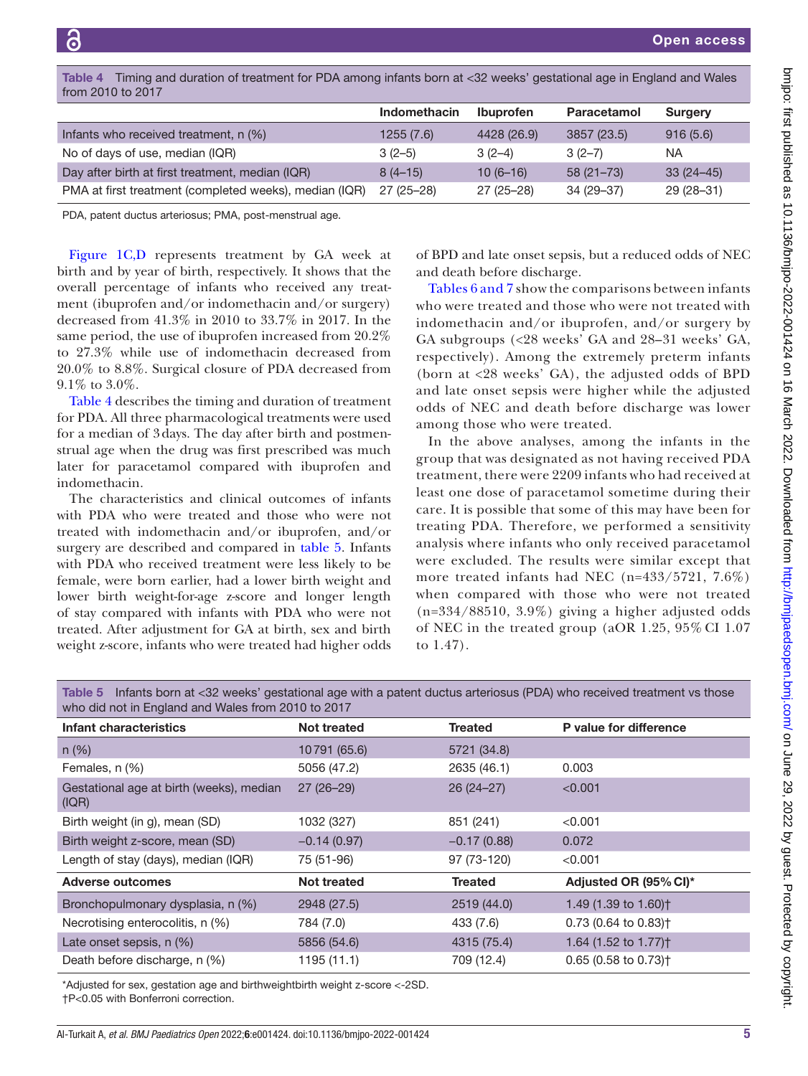| <b>Surgery</b> |
|----------------|
| 916(5.6)       |
| ΝA             |
| $33(24-45)$    |
| $29(28-31)$    |
|                |

<span id="page-4-0"></span>Table 4 Timing and duration of treatment for PDA among infants born at <32 weeks' gestational age in England and Wales from 2010 to 2017

PDA, patent ductus arteriosus; PMA, post-menstrual age.

[Figure](#page-1-0) 1C,D represents treatment by GA week at birth and by year of birth, respectively. It shows that the overall percentage of infants who received any treatment (ibuprofen and/or indomethacin and/or surgery) decreased from 41.3% in 2010 to 33.7% in 2017. In the same period, the use of ibuprofen increased from 20.2% to 27.3% while use of indomethacin decreased from 20.0% to 8.8%. Surgical closure of PDA decreased from 9.1% to 3.0%.

[Table](#page-4-0) 4 describes the timing and duration of treatment for PDA. All three pharmacological treatments were used for a median of 3days. The day after birth and postmenstrual age when the drug was first prescribed was much later for paracetamol compared with ibuprofen and indomethacin.

The characteristics and clinical outcomes of infants with PDA who were treated and those who were not treated with indomethacin and/or ibuprofen, and/or surgery are described and compared in [table](#page-4-1) 5. Infants with PDA who received treatment were less likely to be female, were born earlier, had a lower birth weight and lower birth weight-for-age z-score and longer length of stay compared with infants with PDA who were not treated. After adjustment for GA at birth, sex and birth weight z-score, infants who were treated had higher odds of BPD and late onset sepsis, but a reduced odds of NEC and death before discharge.

Tables [6 and 7](#page-5-0) show the comparisons between infants who were treated and those who were not treated with indomethacin and/or ibuprofen, and/or surgery by GA subgroups (<28 weeks' GA and 28–31 weeks' GA, respectively). Among the extremely preterm infants (born at <28 weeks' GA), the adjusted odds of BPD and late onset sepsis were higher while the adjusted odds of NEC and death before discharge was lower among those who were treated.

In the above analyses, among the infants in the group that was designated as not having received PDA treatment, there were 2209 infants who had received at least one dose of paracetamol sometime during their care. It is possible that some of this may have been for treating PDA. Therefore, we performed a sensitivity analysis where infants who only received paracetamol were excluded. The results were similar except that more treated infants had NEC (n=433/5721, 7.6%) when compared with those who were not treated (n=334/88510, 3.9%) giving a higher adjusted odds of NEC in the treated group (aOR 1.25, 95% CI 1.07 to 1.47).

<span id="page-4-1"></span>Table 5 Infants born at <32 weeks' gestational age with a patent ductus arteriosus (PDA) who received treatment vs those who did not in England and Wales from 2010 to 2017

| Infant characteristics                            | <b>Not treated</b> | <b>Treated</b> | P value for difference             |
|---------------------------------------------------|--------------------|----------------|------------------------------------|
|                                                   |                    |                |                                    |
| $n (\%)$                                          | 10791 (65.6)       | 5721 (34.8)    |                                    |
| Females, n (%)                                    | 5056 (47.2)        | 2635 (46.1)    | 0.003                              |
| Gestational age at birth (weeks), median<br>(IQR) | $27(26-29)$        | $26(24-27)$    | < 0.001                            |
| Birth weight (in g), mean (SD)                    | 1032 (327)         | 851 (241)      | < 0.001                            |
| Birth weight z-score, mean (SD)                   | $-0.14(0.97)$      | $-0.17(0.88)$  | 0.072                              |
| Length of stay (days), median (IQR)               | 75 (51-96)         | 97 (73-120)    | < 0.001                            |
| <b>Adverse outcomes</b>                           | <b>Not treated</b> | <b>Treated</b> | Adjusted OR (95% CI)*              |
| Bronchopulmonary dysplasia, n (%)                 | 2948 (27.5)        | 2519 (44.0)    | 1.49 (1.39 to 1.60) <sup>+</sup>   |
| Necrotising enterocolitis, n (%)                  | 784 (7.0)          | 433 (7.6)      | $0.73$ (0.64 to 0.83) <sup>+</sup> |
| Late onset sepsis, $n$ $(\%)$                     | 5856 (54.6)        | 4315 (75.4)    | 1.64 (1.52 to 1.77) <sup>+</sup>   |
| Death before discharge, n (%)                     | 1195 (11.1)        | 709 (12.4)     | $0.65$ (0.58 to 0.73) <sup>+</sup> |

\*Adjusted for sex, gestation age and birthweightbirth weight z-score <-2SD.

†P<0.05 with Bonferroni correction.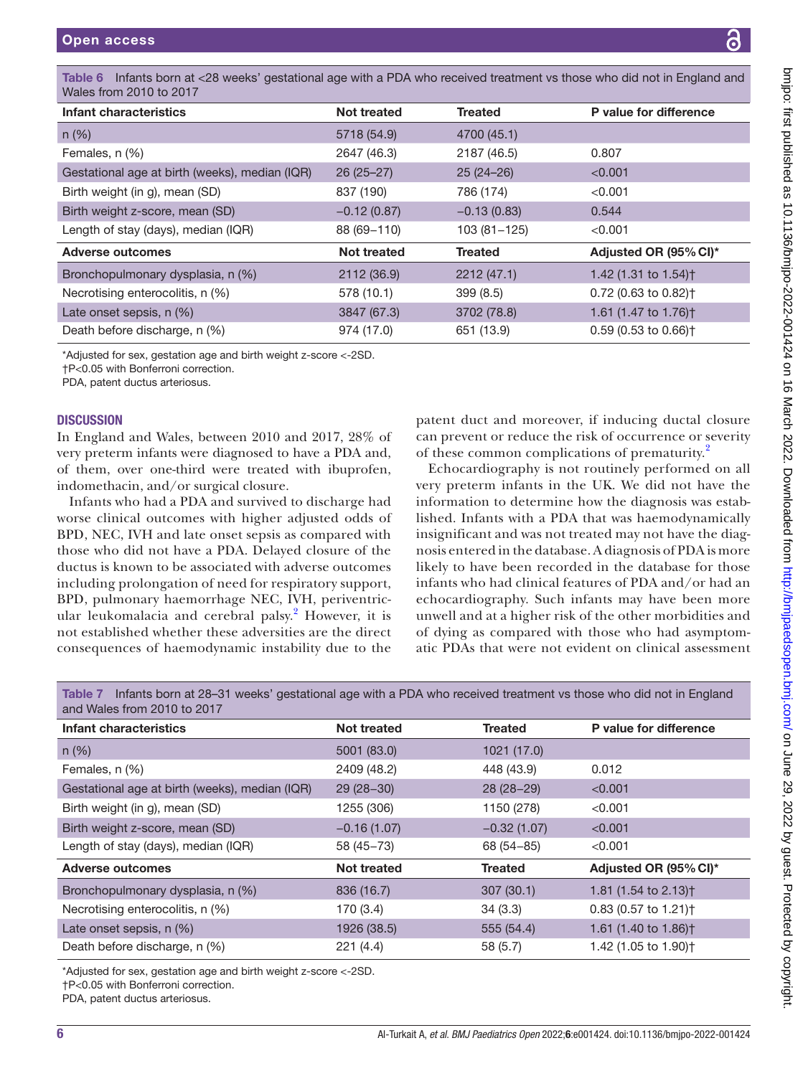bmipo: first published as 10.1136/bmipo-2022-001424 on 16 March 2022. Downloaded from http://bmipaedsopen.bmj.com/ on June 29, 2022 by guest. Protected by copyright on June 29, 2022 by guest. Protected by copyright. <http://bmjpaedsopen.bmj.com/> bmjpo: first published as 10.1136/bmjpo-2022-001424 on 16 March 2022. Downloaded from

<span id="page-5-0"></span>

| Table 6 Infants born at <28 weeks' gestational age with a PDA who received treatment vs those who did not in England and<br>Wales from 2010 to 2017 |                    |                                                                                                                  |                                                                                                                  |  |
|-----------------------------------------------------------------------------------------------------------------------------------------------------|--------------------|------------------------------------------------------------------------------------------------------------------|------------------------------------------------------------------------------------------------------------------|--|
| Infant characteristics                                                                                                                              | <b>Not treated</b> | <b>Treated</b>                                                                                                   | P value for difference                                                                                           |  |
| $n$ (%)                                                                                                                                             | 5718 (54.9)        | 4700 (45.1)                                                                                                      |                                                                                                                  |  |
| Females, n (%)                                                                                                                                      | 2647 (46.3)        | 2187 (46.5)                                                                                                      | 0.807                                                                                                            |  |
| Gestational age at birth (weeks), median (IQR)                                                                                                      | $26(25-27)$        | $25(24-26)$                                                                                                      | < 0.001                                                                                                          |  |
| Birth weight (in g), mean (SD)                                                                                                                      | 837 (190)          | 786 (174)                                                                                                        | < 0.001                                                                                                          |  |
| Birth weight z-score, mean (SD)                                                                                                                     | $-0.12(0.87)$      | $-0.13(0.83)$                                                                                                    | 0.544                                                                                                            |  |
| Length of stay (days), median (IQR)                                                                                                                 | 88 (69-110)        | $103(81 - 125)$                                                                                                  | < 0.001                                                                                                          |  |
| <b>Adverse outcomes</b>                                                                                                                             | <b>Not treated</b> | <b>Treated</b>                                                                                                   | Adjusted OR (95% CI)*                                                                                            |  |
| Bronchopulmonary dysplasia, n (%)                                                                                                                   | 2112 (36.9)        | 2212 (47.1)                                                                                                      | 1.42 (1.31 to 1.54) <sup>+</sup>                                                                                 |  |
| Necrotising enterocolitis, n (%)                                                                                                                    | 578 (10.1)         | 399 (8.5)                                                                                                        | 0.72 (0.63 to 0.82) <sup>+</sup>                                                                                 |  |
| Late onset sepsis, n (%)                                                                                                                            | 3847 (67.3)        | 3702 (78.8)                                                                                                      | 1.61 (1.47 to 1.76) <sup>+</sup>                                                                                 |  |
| Death before discharge, n (%)                                                                                                                       | 974 (17.0)         | 651 (13.9)                                                                                                       | $0.59$ (0.53 to 0.66) <sup>+</sup>                                                                               |  |
| *Adjusted for sex, gestation age and birth weight z-score <-2SD.<br>+P<0.05 with Bonferroni correction.<br>PDA, patent ductus arteriosus.           |                    |                                                                                                                  |                                                                                                                  |  |
| <b>DISCUSSION</b><br>In England and Wales, between 2010 and 2017, 28% of                                                                            |                    |                                                                                                                  | patent duct and moreover, if inducing ductal closure<br>can prevent or reduce the risk of occurrence or severity |  |
| very preterm infants were diagnosed to have a PDA and,<br>of them, over one-third were treated with ibuprofen,                                      |                    | of these common complications of prematurity. <sup>2</sup><br>Echocardiography is not routinely performed on all |                                                                                                                  |  |
|                                                                                                                                                     |                    |                                                                                                                  |                                                                                                                  |  |

Echocardiography is not routinely performed on all very preterm infants in the UK. We did not have the information to determine how the diagnosis was established. Infants with a PDA that was haemodynamically insignificant and was not treated may not have the diagnosis entered in the database. A diagnosis of PDA is more likely to have been recorded in the database for those infants who had clinical features of PDA and/or had an echocardiography. Such infants may have been more unwell and at a higher risk of the other morbidities and of dying as compared with those who had asymptomatic PDAs that were not evident on clinical assessment

Table 7 Infants born at 28–31 weeks' gestational age with a PDA who received treatment vs those who did not in England and Wales from 2010 to 2017

| Infant characteristics                         | <b>Not treated</b> | <b>Treated</b> | P value for difference             |
|------------------------------------------------|--------------------|----------------|------------------------------------|
| $n (\%)$                                       | 5001 (83.0)        | 1021 (17.0)    |                                    |
| Females, n (%)                                 | 2409 (48.2)        | 448 (43.9)     | 0.012                              |
| Gestational age at birth (weeks), median (IQR) | $29(28-30)$        | $28(28-29)$    | < 0.001                            |
| Birth weight (in g), mean (SD)                 | 1255 (306)         | 1150 (278)     | < 0.001                            |
| Birth weight z-score, mean (SD)                | $-0.16(1.07)$      | $-0.32(1.07)$  | < 0.001                            |
| Length of stay (days), median (IQR)            | $58(45 - 73)$      | $68(54 - 85)$  | < 0.001                            |
| <b>Adverse outcomes</b>                        | <b>Not treated</b> | <b>Treated</b> | Adjusted OR (95% CI)*              |
| Bronchopulmonary dysplasia, n (%)              | 836 (16.7)         | 307(30.1)      | 1.81 (1.54 to 2.13) <sup>+</sup>   |
| Necrotising enterocolitis, n (%)               | 170 (3.4)          | 34(3.3)        | $0.83$ (0.57 to 1.21) <sup>+</sup> |
| Late onset sepsis, n (%)                       | 1926 (38.5)        | 555 (54.4)     | 1.61 (1.40 to 1.86) <sup>†</sup>   |
| Death before discharge, n (%)                  | 221(4.4)           | 58 (5.7)       | 1.42 (1.05 to 1.90) <sup>+</sup>   |

\*Adjusted for sex, gestation age and birth weight z-score <-2SD.

Infants who had a PDA and survived to discharge had worse clinical outcomes with higher adjusted odds of BPD, NEC, IVH and late onset sepsis as compared with those who did not have a PDA. Delayed closure of the ductus is known to be associated with adverse outcomes including prolongation of need for respiratory support, BPD, pulmonary haemorrhage NEC, IVH, periventric-ular leukomalacia and cerebral palsy.<sup>[2](#page-7-7)</sup> However, it is not established whether these adversities are the direct consequences of haemodynamic instability due to the

†P<0.05 with Bonferroni correction.

PDA, patent ductus arteriosus.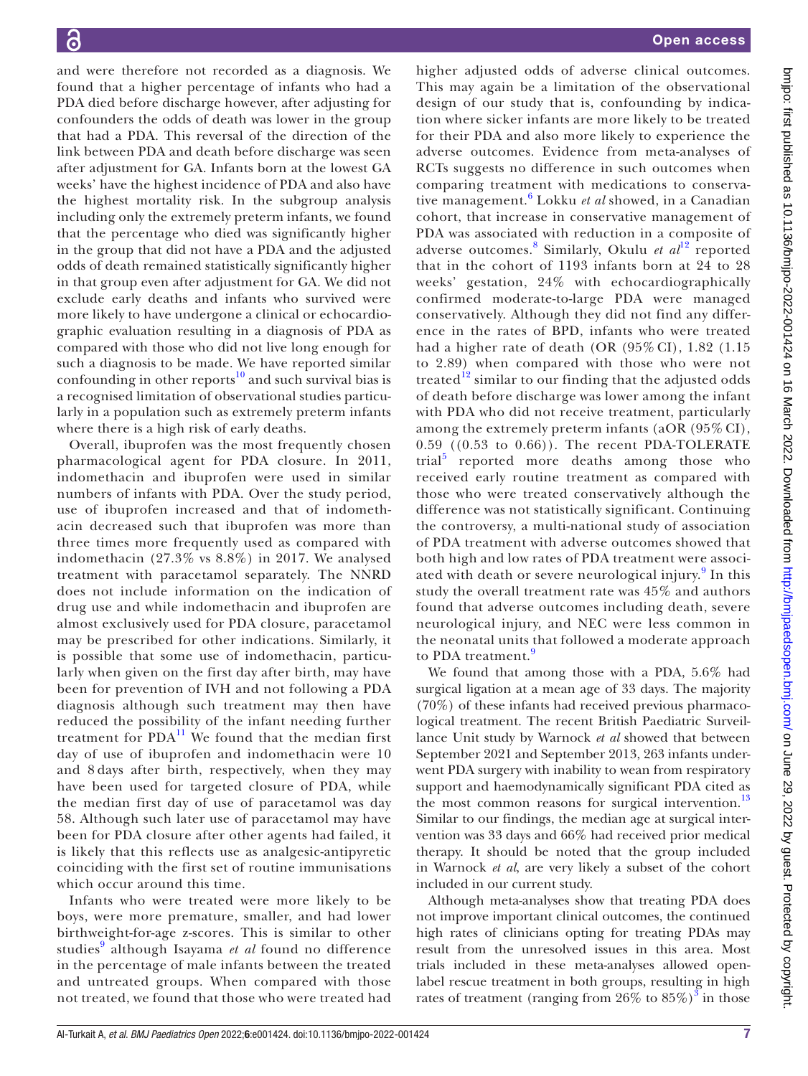and were therefore not recorded as a diagnosis. We found that a higher percentage of infants who had a PDA died before discharge however, after adjusting for confounders the odds of death was lower in the group that had a PDA. This reversal of the direction of the link between PDA and death before discharge was seen after adjustment for GA. Infants born at the lowest GA weeks' have the highest incidence of PDA and also have the highest mortality risk. In the subgroup analysis including only the extremely preterm infants, we found that the percentage who died was significantly higher in the group that did not have a PDA and the adjusted odds of death remained statistically significantly higher in that group even after adjustment for GA. We did not exclude early deaths and infants who survived were more likely to have undergone a clinical or echocardiographic evaluation resulting in a diagnosis of PDA as compared with those who did not live long enough for such a diagnosis to be made. We have reported similar confounding in other reports $10$  and such survival bias is a recognised limitation of observational studies particularly in a population such as extremely preterm infants where there is a high risk of early deaths.

Overall, ibuprofen was the most frequently chosen pharmacological agent for PDA closure. In 2011, indomethacin and ibuprofen were used in similar numbers of infants with PDA. Over the study period, use of ibuprofen increased and that of indomethacin decreased such that ibuprofen was more than three times more frequently used as compared with indomethacin (27.3% vs 8.8%) in 2017. We analysed treatment with paracetamol separately. The NNRD does not include information on the indication of drug use and while indomethacin and ibuprofen are almost exclusively used for PDA closure, paracetamol may be prescribed for other indications. Similarly, it is possible that some use of indomethacin, particularly when given on the first day after birth, may have been for prevention of IVH and not following a PDA diagnosis although such treatment may then have reduced the possibility of the infant needing further treatment for  $\text{PDA}^{11}$  $\text{PDA}^{11}$  $\text{PDA}^{11}$  We found that the median first day of use of ibuprofen and indomethacin were 10 and 8 days after birth, respectively, when they may have been used for targeted closure of PDA, while the median first day of use of paracetamol was day 58. Although such later use of paracetamol may have been for PDA closure after other agents had failed, it is likely that this reflects use as analgesic-antipyretic coinciding with the first set of routine immunisations which occur around this time.

Infants who were treated were more likely to be boys, were more premature, smaller, and had lower birthweight-for-age z-scores. This is similar to other studies<sup>[9](#page-7-6)</sup> although Isayama *et al* found no difference in the percentage of male infants between the treated and untreated groups. When compared with those not treated, we found that those who were treated had

higher adjusted odds of adverse clinical outcomes. This may again be a limitation of the observational design of our study that is, confounding by indication where sicker infants are more likely to be treated for their PDA and also more likely to experience the adverse outcomes. Evidence from meta-analyses of RCTs suggests no difference in such outcomes when comparing treatment with medications to conservative management.[6](#page-7-3) Lokku *et al* showed, in a Canadian cohort, that increase in conservative management of PDA was associated with reduction in a composite of adverse outcomes.<sup>[8](#page-7-5)</sup> Similarly, Okulu *et al*<sup>[12](#page-7-10)</sup> reported that in the cohort of 1193 infants born at 24 to 28 weeks' gestation, 24% with echocardiographically confirmed moderate-to-large PDA were managed conservatively. Although they did not find any difference in the rates of BPD, infants who were treated had a higher rate of death (OR (95% CI), 1.82 (1.15 to 2.89) when compared with those who were not treated<sup>[12](#page-7-10)</sup> similar to our finding that the adjusted odds of death before discharge was lower among the infant with PDA who did not receive treatment, particularly among the extremely preterm infants (aOR (95% CI), 0.59 ((0.53 to 0.66)). The recent PDA-TOLERATE trial<sup>[5](#page-7-2)</sup> reported more deaths among those who received early routine treatment as compared with those who were treated conservatively although the difference was not statistically significant. Continuing the controversy, a multi-national study of association of PDA treatment with adverse outcomes showed that both high and low rates of PDA treatment were associ-ated with death or severe neurological injury.<sup>[9](#page-7-6)</sup> In this study the overall treatment rate was 45% and authors found that adverse outcomes including death, severe neurological injury, and NEC were less common in the neonatal units that followed a moderate approach to PDA treatment.<sup>[9](#page-7-6)</sup>

We found that among those with a PDA, 5.6% had surgical ligation at a mean age of 33 days. The majority (70%) of these infants had received previous pharmacological treatment. The recent British Paediatric Surveillance Unit study by Warnock *et al* showed that between September 2021 and September 2013, 263 infants underwent PDA surgery with inability to wean from respiratory support and haemodynamically significant PDA cited as the most common reasons for surgical intervention.<sup>[13](#page-7-11)</sup> Similar to our findings, the median age at surgical intervention was 33 days and 66% had received prior medical therapy. It should be noted that the group included in Warnock *et al*, are very likely a subset of the cohort included in our current study.

Although meta-analyses show that treating PDA does not improve important clinical outcomes, the continued high rates of clinicians opting for treating PDAs may result from the unresolved issues in this area. Most trials included in these meta-analyses allowed openlabel rescue treatment in both groups, resulting in high rates of treatment (ranging from  $26\%$  to  $85\%)^3$  $85\%)^3$  in those